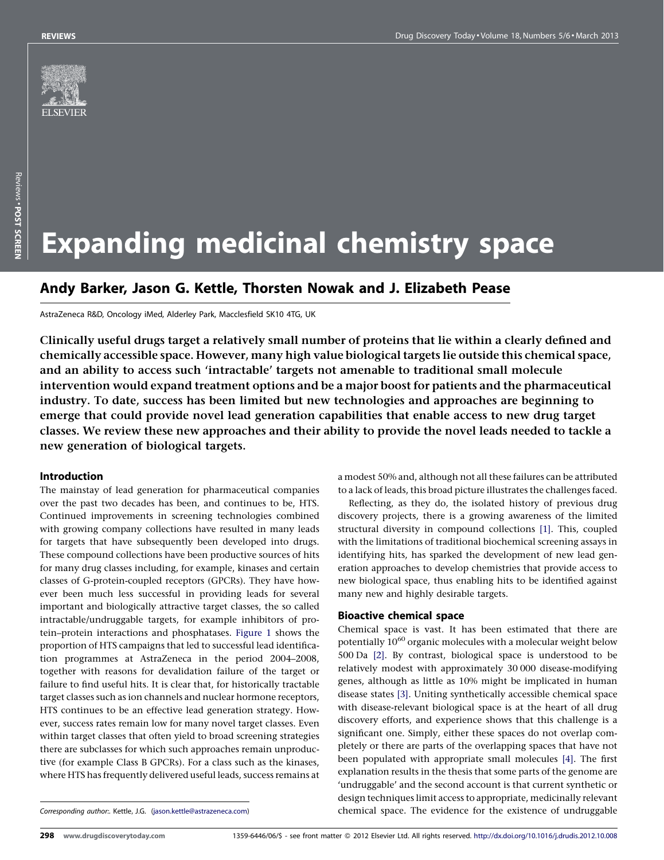

# Expanding medicinal chemistry space

# Andy Barker, Jason G. Kettle, Thorsten Nowak and J. Elizabeth Pease

AstraZeneca R&D, Oncology iMed, Alderley Park, Macclesfield SK10 4TG, UK

Clinically useful drugs target a relatively small number of proteins that lie within a clearly defined and chemically accessible space. However, many high value biological targets lie outside this chemical space, and an ability to access such 'intractable' targets not amenable to traditional small molecule intervention would expand treatment options and be a major boost for patients and the pharmaceutical industry. To date, success has been limited but new technologies and approaches are beginning to emerge that could provide novel lead generation capabilities that enable access to new drug target classes. We review these new approaches and their ability to provide the novel leads needed to tackle a new generation of biological targets.

#### Introduction

The mainstay of lead generation for pharmaceutical companies over the past two decades has been, and continues to be, HTS. Continued improvements in screening technologies combined with growing company collections have resulted in many leads for targets that have subsequently been developed into drugs. These compound collections have been productive sources of hits for many drug classes including, for example, kinases and certain classes of G-protein-coupled receptors (GPCRs). They have however been much less successful in providing leads for several important and biologically attractive target classes, the so called intractable/undruggable targets, for example inhibitors of protein–protein interactions and phosphatases. [Figure](#page-1-0) 1 shows the proportion of HTS campaigns that led to successful lead identification programmes at AstraZeneca in the period 2004–2008, together with reasons for devalidation failure of the target or failure to find useful hits. It is clear that, for historically tractable target classes such as ion channels and nuclear hormone receptors, HTS continues to be an effective lead generation strategy. However, success rates remain low for many novel target classes. Even within target classes that often yield to broad screening strategies there are subclasses for which such approaches remain unproductive (for example Class B GPCRs). For a class such as the kinases, where HTS has frequently delivered useful leads, success remains at a modest 50% and, although not all these failures can be attributed to a lack of leads, this broad picture illustrates the challenges faced.

Reflecting, as they do, the isolated history of previous drug discovery projects, there is a growing awareness of the limited structural diversity in compound collections [\[1\]](#page-5-0). This, coupled with the limitations of traditional biochemical screening assays in identifying hits, has sparked the development of new lead generation approaches to develop chemistries that provide access to new biological space, thus enabling hits to be identified against many new and highly desirable targets.

### Bioactive chemical space

Chemical space is vast. It has been estimated that there are potentially  $10^{60}$  organic molecules with a molecular weight below 500 Da [\[2\].](#page-5-0) By contrast, biological space is understood to be relatively modest with approximately 30 000 disease-modifying genes, although as little as 10% might be implicated in human disease states [\[3\].](#page-5-0) Uniting synthetically accessible chemical space with disease-relevant biological space is at the heart of all drug discovery efforts, and experience shows that this challenge is a significant one. Simply, either these spaces do not overlap completely or there are parts of the overlapping spaces that have not been populated with appropriate small molecules [\[4\]](#page-5-0). The first explanation results in the thesis that some parts of the genome are 'undruggable' and the second account is that current synthetic or design techniques limit access to appropriate, medicinally relevant chemical space. The evidence for the existence of undruggable

Corresponding author:. Kettle, J.G. [\(jason.kettle@astrazeneca.com](mailto:jason.kettle@astrazeneca.com))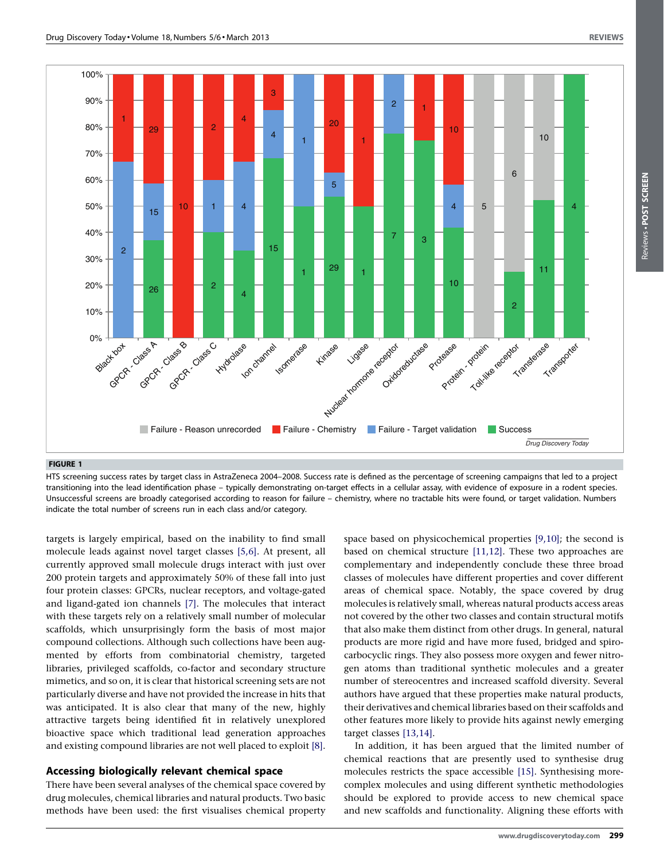Reviews -

Reviews . POST SCREEN POST SCREEN

<span id="page-1-0"></span>

FIGURE 1

HTS screening success rates by target class in AstraZeneca 2004–2008. Success rate is defined as the percentage of screening campaigns that led to a project transitioning into the lead identification phase – typically demonstrating on-target effects in a cellular assay, with evidence of exposure in a rodent species. Unsuccessful screens are broadly categorised according to reason for failure – chemistry, where no tractable hits were found, or target validation. Numbers indicate the total number of screens run in each class and/or category.

targets is largely empirical, based on the inability to find small molecule leads against novel target classes [\[5,6\].](#page-5-0) At present, all currently approved small molecule drugs interact with just over 200 protein targets and approximately 50% of these fall into just four protein classes: GPCRs, nuclear receptors, and voltage-gated and ligand-gated ion channels [\[7\]](#page-5-0). The molecules that interact with these targets rely on a relatively small number of molecular scaffolds, which unsurprisingly form the basis of most major compound collections. Although such collections have been augmented by efforts from combinatorial chemistry, targeted libraries, privileged scaffolds, co-factor and secondary structure mimetics, and so on, it is clear that historical screening sets are not particularly diverse and have not provided the increase in hits that was anticipated. It is also clear that many of the new, highly attractive targets being identified fit in relatively unexplored bioactive space which traditional lead generation approaches and existing compound libraries are not well placed to exploit [\[8\].](#page-5-0)

#### Accessing biologically relevant chemical space

There have been several analyses of the chemical space covered by drug molecules, chemical libraries and natural products. Two basic methods have been used: the first visualises chemical property

space based on physicochemical properties [\[9,10\]](#page-5-0); the second is based on chemical structure [\[11,12\].](#page-5-0) These two approaches are complementary and independently conclude these three broad classes of molecules have different properties and cover different areas of chemical space. Notably, the space covered by drug molecules is relatively small, whereas natural products access areas not covered by the other two classes and contain structural motifs that also make them distinct from other drugs. In general, natural products are more rigid and have more fused, bridged and spirocarbocyclic rings. They also possess more oxygen and fewer nitrogen atoms than traditional synthetic molecules and a greater number of stereocentres and increased scaffold diversity. Several authors have argued that these properties make natural products, their derivatives and chemical libraries based on their scaffolds and other features more likely to provide hits against newly emerging target classes [\[13,14\]](#page-5-0).

In addition, it has been argued that the limited number of chemical reactions that are presently used to synthesise drug molecules restricts the space accessible [\[15\].](#page-5-0) Synthesising morecomplex molecules and using different synthetic methodologies should be explored to provide access to new chemical space and new scaffolds and functionality. Aligning these efforts with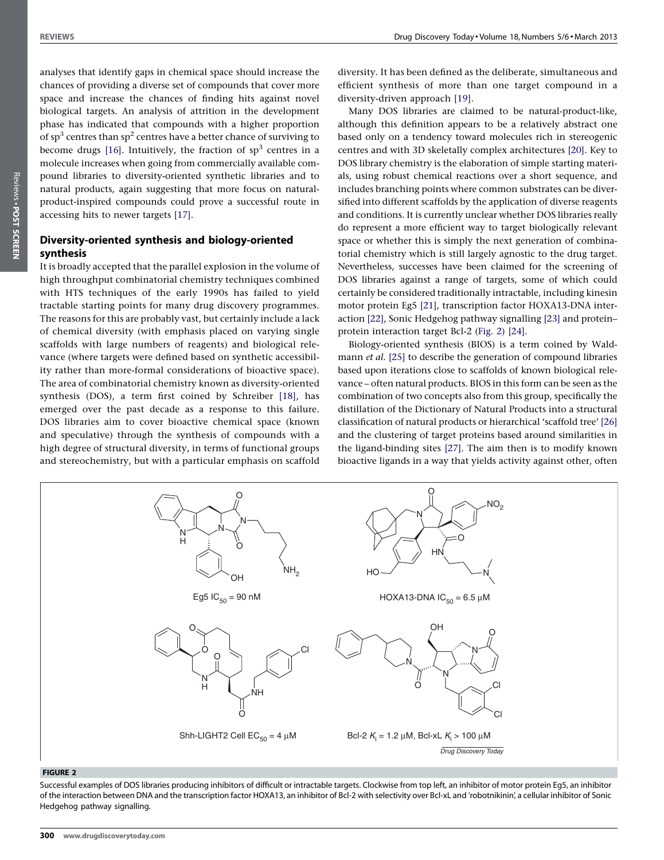analyses that identify gaps in chemical space should increase the chances of providing a diverse set of compounds that cover more space and increase the chances of finding hits against novel biological targets. An analysis of attrition in the development phase has indicated that compounds with a higher proportion of  $sp^3$  centres than  $sp^2$  centres have a better chance of surviving to become drugs [\[16\]](#page-5-0). Intuitively, the fraction of  $sp<sup>3</sup>$  centres in a molecule increases when going from commercially available compound libraries to diversity-oriented synthetic libraries and to natural products, again suggesting that more focus on naturalproduct-inspired compounds could prove a successful route in accessing hits to newer targets [\[17\]](#page-5-0).

## Diversity-oriented synthesis and biology-oriented synthesis

It is broadly accepted that the parallel explosion in the volume of high throughput combinatorial chemistry techniques combined with HTS techniques of the early 1990s has failed to yield tractable starting points for many drug discovery programmes. The reasons for this are probably vast, but certainly include a lack of chemical diversity (with emphasis placed on varying single scaffolds with large numbers of reagents) and biological relevance (where targets were defined based on synthetic accessibility rather than more-formal considerations of bioactive space). The area of combinatorial chemistry known as diversity-oriented synthesis (DOS), a term first coined by Schreiber [\[18\]](#page-5-0), has emerged over the past decade as a response to this failure. DOS libraries aim to cover bioactive chemical space (known and speculative) through the synthesis of compounds with a high degree of structural diversity, in terms of functional groups and stereochemistry, but with a particular emphasis on scaffold

diversity. It has been defined as the deliberate, simultaneous and efficient synthesis of more than one target compound in a diversity-driven approach [\[19\].](#page-5-0)

Many DOS libraries are claimed to be natural-product-like, although this definition appears to be a relatively abstract one based only on a tendency toward molecules rich in stereogenic centres and with 3D skeletally complex architectures [\[20\]](#page-5-0). Key to DOS library chemistry is the elaboration of simple starting materials, using robust chemical reactions over a short sequence, and includes branching points where common substrates can be diversified into different scaffolds by the application of diverse reagents and conditions. It is currently unclear whether DOS libraries really do represent a more efficient way to target biologically relevant space or whether this is simply the next generation of combinatorial chemistry which is still largely agnostic to the drug target. Nevertheless, successes have been claimed for the screening of DOS libraries against a range of targets, some of which could certainly be considered traditionally intractable, including kinesin motor protein Eg5 [\[21\]](#page-5-0), transcription factor HOXA13-DNA interaction [\[22\]](#page-5-0), Sonic Hedgehog pathway signalling [\[23\]](#page-6-0) and protein– protein interaction target Bcl-2 (Fig. 2) [\[24\]](#page-6-0).

Biology-oriented synthesis (BIOS) is a term coined by Wald-mann et al. [\[25\]](#page-6-0) to describe the generation of compound libraries based upon iterations close to scaffolds of known biological relevance – often natural products. BIOS in this form can be seen as the combination of two concepts also from this group, specifically the distillation of the Dictionary of Natural Products into a structural classification of natural products or hierarchical 'scaffold tree' [\[26\]](#page-6-0) and the clustering of target proteins based around similarities in the ligand-binding sites [\[27\].](#page-6-0) The aim then is to modify known bioactive ligands in a way that yields activity against other, often



#### FIGURE 2

Successful examples of DOS libraries producing inhibitors of difficult or intractable targets. Clockwise from top left, an inhibitor of motor protein Eg5, an inhibitor of the interaction between DNA and the transcription factor HOXA13, an inhibitor of Bcl-2 with selectivity over Bcl-xL and 'robotnikinin', a cellular inhibitor of Sonic Hedgehog pathway signalling.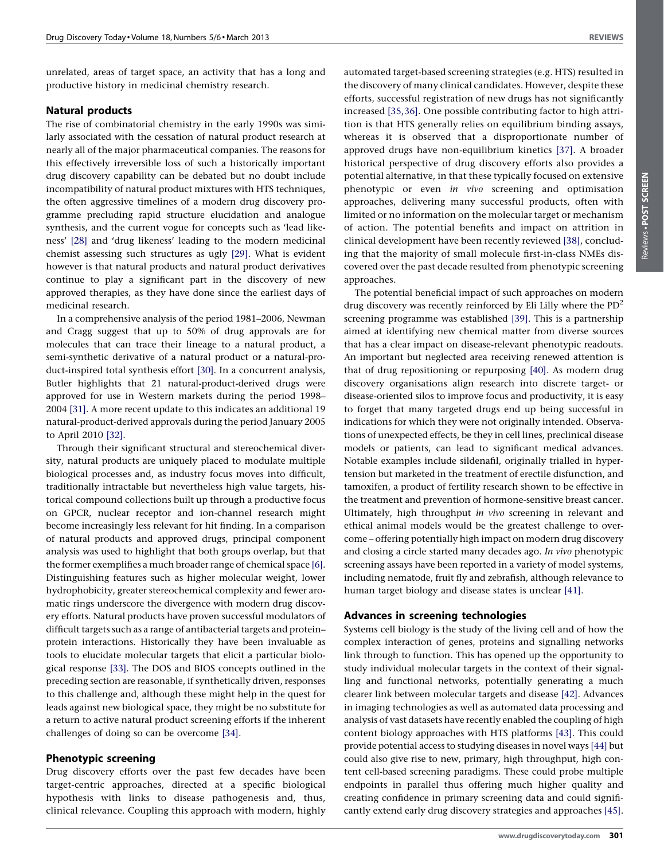unrelated, areas of target space, an activity that has a long and productive history in medicinal chemistry research.

#### Natural products

The rise of combinatorial chemistry in the early 1990s was similarly associated with the cessation of natural product research at nearly all of the major pharmaceutical companies. The reasons for this effectively irreversible loss of such a historically important drug discovery capability can be debated but no doubt include incompatibility of natural product mixtures with HTS techniques, the often aggressive timelines of a modern drug discovery programme precluding rapid structure elucidation and analogue synthesis, and the current vogue for concepts such as 'lead likeness' [\[28\]](#page-6-0) and 'drug likeness' leading to the modern medicinal chemist assessing such structures as ugly [\[29\].](#page-6-0) What is evident however is that natural products and natural product derivatives continue to play a significant part in the discovery of new approved therapies, as they have done since the earliest days of medicinal research.

In a comprehensive analysis of the period 1981–2006, Newman and Cragg suggest that up to 50% of drug approvals are for molecules that can trace their lineage to a natural product, a semi-synthetic derivative of a natural product or a natural-product-inspired total synthesis effort [\[30\]](#page-6-0). In a concurrent analysis, Butler highlights that 21 natural-product-derived drugs were approved for use in Western markets during the period 1998– 2004 [\[31\]](#page-6-0). A more recent update to this indicates an additional 19 natural-product-derived approvals during the period January 2005 to April 2010 [\[32\]](#page-6-0).

Through their significant structural and stereochemical diversity, natural products are uniquely placed to modulate multiple biological processes and, as industry focus moves into difficult, traditionally intractable but nevertheless high value targets, historical compound collections built up through a productive focus on GPCR, nuclear receptor and ion-channel research might become increasingly less relevant for hit finding. In a comparison of natural products and approved drugs, principal component analysis was used to highlight that both groups overlap, but that the former exemplifies a much broader range of chemical space [\[6\].](#page-5-0) Distinguishing features such as higher molecular weight, lower hydrophobicity, greater stereochemical complexity and fewer aromatic rings underscore the divergence with modern drug discovery efforts. Natural products have proven successful modulators of difficult targets such as a range of antibacterial targets and protein– protein interactions. Historically they have been invaluable as tools to elucidate molecular targets that elicit a particular biological response [\[33\].](#page-6-0) The DOS and BIOS concepts outlined in the preceding section are reasonable, if synthetically driven, responses to this challenge and, although these might help in the quest for leads against new biological space, they might be no substitute for a return to active natural product screening efforts if the inherent challenges of doing so can be overcome [\[34\]](#page-6-0).

#### Phenotypic screening

Drug discovery efforts over the past few decades have been target-centric approaches, directed at a specific biological hypothesis with links to disease pathogenesis and, thus, clinical relevance. Coupling this approach with modern, highly

automated target-based screening strategies (e.g. HTS) resulted in the discovery of many clinical candidates. However, despite these efforts, successful registration of new drugs has not significantly increased [\[35,36\].](#page-6-0) One possible contributing factor to high attrition is that HTS generally relies on equilibrium binding assays, whereas it is observed that a disproportionate number of approved drugs have non-equilibrium kinetics [\[37\].](#page-6-0) A broader historical perspective of drug discovery efforts also provides a potential alternative, in that these typically focused on extensive phenotypic or even in vivo screening and optimisation approaches, delivering many successful products, often with limited or no information on the molecular target or mechanism of action. The potential benefits and impact on attrition in clinical development have been recently reviewed [\[38\]](#page-6-0), concluding that the majority of small molecule first-in-class NMEs discovered over the past decade resulted from phenotypic screening approaches.

The potential beneficial impact of such approaches on modern drug discovery was recently reinforced by Eli Lilly where the  $PD^2$ screening programme was established [\[39\]](#page-6-0). This is a partnership aimed at identifying new chemical matter from diverse sources that has a clear impact on disease-relevant phenotypic readouts. An important but neglected area receiving renewed attention is that of drug repositioning or repurposing [\[40\]](#page-6-0). As modern drug discovery organisations align research into discrete target- or disease-oriented silos to improve focus and productivity, it is easy to forget that many targeted drugs end up being successful in indications for which they were not originally intended. Observations of unexpected effects, be they in cell lines, preclinical disease models or patients, can lead to significant medical advances. Notable examples include sildenafil, originally trialled in hypertension but marketed in the treatment of erectile disfunction, and tamoxifen, a product of fertility research shown to be effective in the treatment and prevention of hormone-sensitive breast cancer. Ultimately, high throughput in vivo screening in relevant and ethical animal models would be the greatest challenge to overcome – offering potentially high impact on modern drug discovery and closing a circle started many decades ago. In vivo phenotypic screening assays have been reported in a variety of model systems, including nematode, fruit fly and zebrafish, although relevance to human target biology and disease states is unclear [\[41\]](#page-6-0).

#### Advances in screening technologies

Systems cell biology is the study of the living cell and of how the complex interaction of genes, proteins and signalling networks link through to function. This has opened up the opportunity to study individual molecular targets in the context of their signalling and functional networks, potentially generating a much clearer link between molecular targets and disease [\[42\]](#page-6-0). Advances in imaging technologies as well as automated data processing and analysis of vast datasets have recently enabled the coupling of high content biology approaches with HTS platforms [\[43\].](#page-6-0) This could provide potential access to studying diseases in novel ways [\[44\]](#page-6-0) but could also give rise to new, primary, high throughput, high content cell-based screening paradigms. These could probe multiple endpoints in parallel thus offering much higher quality and creating confidence in primary screening data and could significantly extend early drug discovery strategies and approaches [\[45\].](#page-6-0)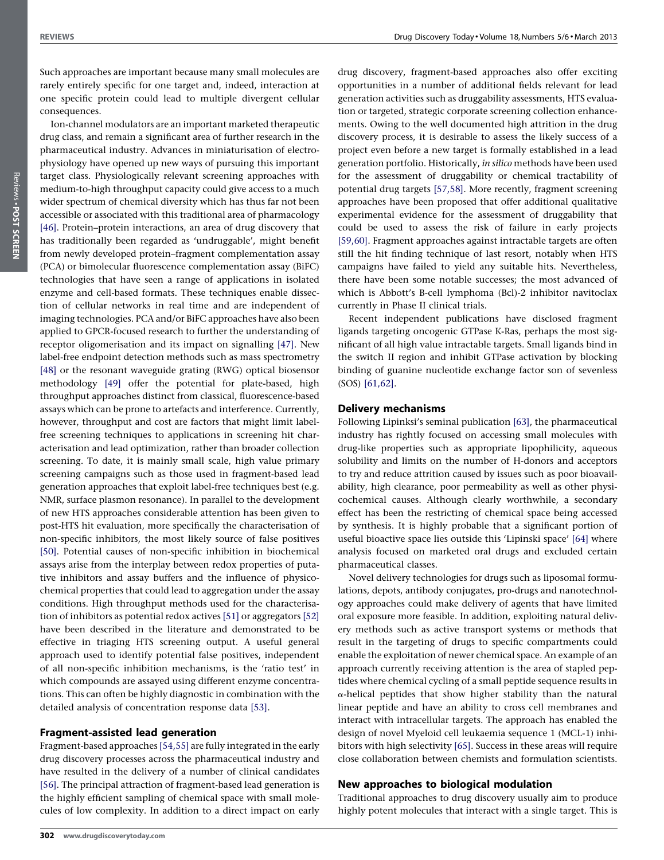Such approaches are important because many small molecules are rarely entirely specific for one target and, indeed, interaction at one specific protein could lead to multiple divergent cellular consequences.

Ion-channel modulators are an important marketed therapeutic drug class, and remain a significant area of further research in the pharmaceutical industry. Advances in miniaturisation of electrophysiology have opened up new ways of pursuing this important target class. Physiologically relevant screening approaches with medium-to-high throughput capacity could give access to a much wider spectrum of chemical diversity which has thus far not been accessible or associated with this traditional area of pharmacology [\[46\]](#page-6-0). Protein–protein interactions, an area of drug discovery that has traditionally been regarded as 'undruggable', might benefit from newly developed protein–fragment complementation assay (PCA) or bimolecular fluorescence complementation assay (BiFC) technologies that have seen a range of applications in isolated enzyme and cell-based formats. These techniques enable dissection of cellular networks in real time and are independent of imaging technologies. PCA and/or BiFC approaches have also been applied to GPCR-focused research to further the understanding of receptor oligomerisation and its impact on signalling [\[47\]](#page-6-0). New label-free endpoint detection methods such as mass spectrometry [\[48\]](#page-6-0) or the resonant waveguide grating (RWG) optical biosensor methodology [\[49\]](#page-6-0) offer the potential for plate-based, high throughput approaches distinct from classical, fluorescence-based assays which can be prone to artefacts and interference. Currently, however, throughput and cost are factors that might limit labelfree screening techniques to applications in screening hit characterisation and lead optimization, rather than broader collection screening. To date, it is mainly small scale, high value primary screening campaigns such as those used in fragment-based lead generation approaches that exploit label-free techniques best (e.g. NMR, surface plasmon resonance). In parallel to the development of new HTS approaches considerable attention has been given to post-HTS hit evaluation, more specifically the characterisation of non-specific inhibitors, the most likely source of false positives [\[50\]](#page-6-0). Potential causes of non-specific inhibition in biochemical assays arise from the interplay between redox properties of putative inhibitors and assay buffers and the influence of physicochemical properties that could lead to aggregation under the assay conditions. High throughput methods used for the characterisation of inhibitors as potential redox actives [\[51\]](#page-6-0) or aggregators [\[52\]](#page-6-0) have been described in the literature and demonstrated to be effective in triaging HTS screening output. A useful general approach used to identify potential false positives, independent of all non-specific inhibition mechanisms, is the 'ratio test' in which compounds are assayed using different enzyme concentrations. This can often be highly diagnostic in combination with the detailed analysis of concentration response data [\[53\].](#page-6-0)

#### Fragment-assisted lead generation

Fragment-based approaches [\[54,55\]](#page-6-0) are fully integrated in the early drug discovery processes across the pharmaceutical industry and have resulted in the delivery of a number of clinical candidates [\[56\]](#page-6-0). The principal attraction of fragment-based lead generation is the highly efficient sampling of chemical space with small molecules of low complexity. In addition to a direct impact on early drug discovery, fragment-based approaches also offer exciting opportunities in a number of additional fields relevant for lead generation activities such as druggability assessments, HTS evaluation or targeted, strategic corporate screening collection enhancements. Owing to the well documented high attrition in the drug discovery process, it is desirable to assess the likely success of a project even before a new target is formally established in a lead generation portfolio. Historically, in silico methods have been used for the assessment of druggability or chemical tractability of potential drug targets [\[57,58\].](#page-6-0) More recently, fragment screening approaches have been proposed that offer additional qualitative experimental evidence for the assessment of druggability that could be used to assess the risk of failure in early projects [\[59,60\]](#page-6-0). Fragment approaches against intractable targets are often still the hit finding technique of last resort, notably when HTS campaigns have failed to yield any suitable hits. Nevertheless, there have been some notable successes; the most advanced of which is Abbott's B-cell lymphoma (Bcl)-2 inhibitor navitoclax currently in Phase II clinical trials.

Recent independent publications have disclosed fragment ligands targeting oncogenic GTPase K-Ras, perhaps the most significant of all high value intractable targets. Small ligands bind in the switch II region and inhibit GTPase activation by blocking binding of guanine nucleotide exchange factor son of sevenless (SOS) [\[61,62\].](#page-6-0)

#### Delivery mechanisms

Following Lipinksi's seminal publication [\[63\],](#page-6-0) the pharmaceutical industry has rightly focused on accessing small molecules with drug-like properties such as appropriate lipophilicity, aqueous solubility and limits on the number of H-donors and acceptors to try and reduce attrition caused by issues such as poor bioavailability, high clearance, poor permeability as well as other physicochemical causes. Although clearly worthwhile, a secondary effect has been the restricting of chemical space being accessed by synthesis. It is highly probable that a significant portion of useful bioactive space lies outside this 'Lipinski space' [\[64\]](#page-6-0) where analysis focused on marketed oral drugs and excluded certain pharmaceutical classes.

Novel delivery technologies for drugs such as liposomal formulations, depots, antibody conjugates, pro-drugs and nanotechnology approaches could make delivery of agents that have limited oral exposure more feasible. In addition, exploiting natural delivery methods such as active transport systems or methods that result in the targeting of drugs to specific compartments could enable the exploitation of newer chemical space. An example of an approach currently receiving attention is the area of stapled peptides where chemical cycling of a small peptide sequence results in a-helical peptides that show higher stability than the natural linear peptide and have an ability to cross cell membranes and interact with intracellular targets. The approach has enabled the design of novel Myeloid cell leukaemia sequence 1 (MCL-1) inhibitors with high selectivity [\[65\]](#page-6-0). Success in these areas will require close collaboration between chemists and formulation scientists.

#### New approaches to biological modulation

Traditional approaches to drug discovery usually aim to produce highly potent molecules that interact with a single target. This is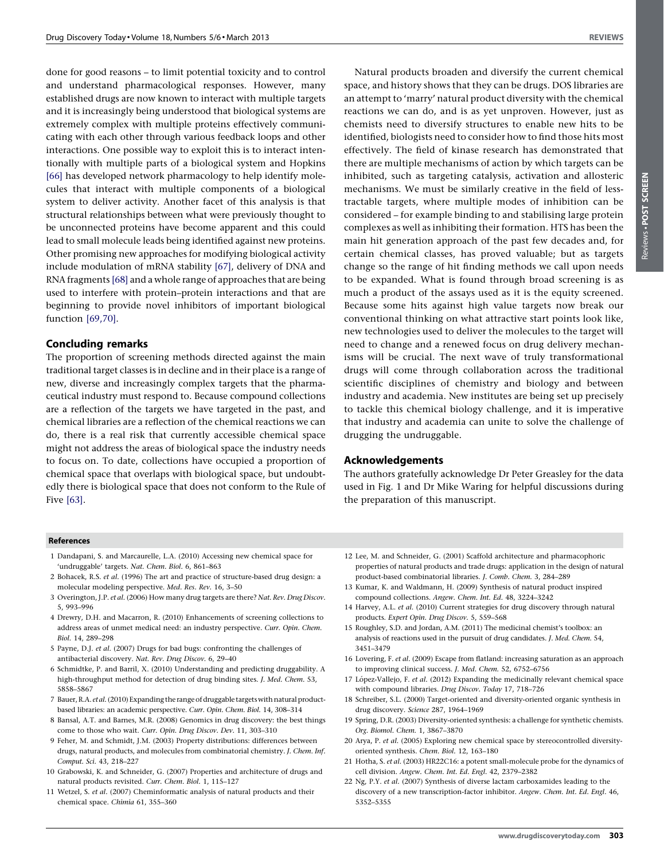<span id="page-5-0"></span>done for good reasons – to limit potential toxicity and to control and understand pharmacological responses. However, many established drugs are now known to interact with multiple targets and it is increasingly being understood that biological systems are extremely complex with multiple proteins effectively communicating with each other through various feedback loops and other interactions. One possible way to exploit this is to interact intentionally with multiple parts of a biological system and Hopkins [\[66\]](#page-6-0) has developed network pharmacology to help identify molecules that interact with multiple components of a biological system to deliver activity. Another facet of this analysis is that structural relationships between what were previously thought to be unconnected proteins have become apparent and this could lead to small molecule leads being identified against new proteins. Other promising new approaches for modifying biological activity include modulation of mRNA stability [\[67\]](#page-6-0), delivery of DNA and RNA fragments [\[68\]](#page-6-0) and a whole range of approaches that are being used to interfere with protein–protein interactions and that are beginning to provide novel inhibitors of important biological function [\[69,70\]](#page-6-0).

#### Concluding remarks

The proportion of screening methods directed against the main traditional target classes is in decline and in their place is a range of new, diverse and increasingly complex targets that the pharmaceutical industry must respond to. Because compound collections are a reflection of the targets we have targeted in the past, and chemical libraries are a reflection of the chemical reactions we can do, there is a real risk that currently accessible chemical space might not address the areas of biological space the industry needs to focus on. To date, collections have occupied a proportion of chemical space that overlaps with biological space, but undoubtedly there is biological space that does not conform to the Rule of Five [\[63\].](#page-6-0)

Natural products broaden and diversify the current chemical space, and history shows that they can be drugs. DOS libraries are an attempt to 'marry' natural product diversity with the chemical reactions we can do, and is as yet unproven. However, just as chemists need to diversify structures to enable new hits to be identified, biologists need to consider how to find those hits most effectively. The field of kinase research has demonstrated that there are multiple mechanisms of action by which targets can be inhibited, such as targeting catalysis, activation and allosteric mechanisms. We must be similarly creative in the field of lesstractable targets, where multiple modes of inhibition can be considered – for example binding to and stabilising large protein complexes as well as inhibiting their formation. HTS has been the main hit generation approach of the past few decades and, for certain chemical classes, has proved valuable; but as targets change so the range of hit finding methods we call upon needs to be expanded. What is found through broad screening is as much a product of the assays used as it is the equity screened. Because some hits against high value targets now break our conventional thinking on what attractive start points look like, new technologies used to deliver the molecules to the target will need to change and a renewed focus on drug delivery mechanisms will be crucial. The next wave of truly transformational drugs will come through collaboration across the traditional scientific disciplines of chemistry and biology and between industry and academia. New institutes are being set up precisely to tackle this chemical biology challenge, and it is imperative that industry and academia can unite to solve the challenge of drugging the undruggable.

#### Acknowledgements

The authors gratefully acknowledge Dr Peter Greasley for the data used in Fig. 1 and Dr Mike Waring for helpful discussions during the preparation of this manuscript.

#### References

- 1 Dandapani, S. and Marcaurelle, L.A. (2010) Accessing new chemical space for 'undruggable' targets. Nat. Chem. Biol. 6, 861–863
- 2 Bohacek, R.S. et al. (1996) The art and practice of structure-based drug design: a molecular modeling perspective. Med. Res. Rev. 16, 3–50
- 3 Overington, J.P. et al. (2006) How many drug targets are there? Nat. Rev. Drug Discov. 5, 993–996
- 4 Drewry, D.H. and Macarron, R. (2010) Enhancements of screening collections to address areas of unmet medical need: an industry perspective. Curr. Opin. Chem. Biol. 14, 289–298
- 5 Payne, D.J. et al. (2007) Drugs for bad bugs: confronting the challenges of antibacterial discovery. Nat. Rev. Drug Discov. 6, 29–40
- 6 Schmidtke, P. and Barril, X. (2010) Understanding and predicting druggability. A high-throughput method for detection of drug binding sites. J. Med. Chem. 53, 5858–5867
- 7 Bauer, R.A. *et al.* (2010) Expanding the range of druggable targets with natural productbased libraries: an academic perspective. Curr. Opin. Chem. Biol. 14, 308–314
- 8 Bansal, A.T. and Barnes, M.R. (2008) Genomics in drug discovery: the best things come to those who wait. Curr. Opin. Drug Discov. Dev. 11, 303–310
- 9 Feher, M. and Schmidt, J.M. (2003) Property distributions: differences between drugs, natural products, and molecules from combinatorial chemistry. J. Chem. Inf. Comput. Sci. 43, 218–227
- 10 Grabowski, K. and Schneider, G. (2007) Properties and architecture of drugs and natural products revisited. Curr. Chem. Biol. 1, 115–127
- 11 Wetzel, S. et al. (2007) Cheminformatic analysis of natural products and their chemical space. Chimia 61, 355–360
- 12 Lee, M. and Schneider, G. (2001) Scaffold architecture and pharmacophoric properties of natural products and trade drugs: application in the design of natural product-based combinatorial libraries. J. Comb. Chem. 3, 284–289
- 13 Kumar, K. and Waldmann, H. (2009) Synthesis of natural product inspired compound collections. Angew. Chem. Int. Ed. 48, 3224–3242
- 14 Harvey, A.L. et al. (2010) Current strategies for drug discovery through natural products. Expert Opin. Drug Discov. 5, 559–568
- 15 Roughley, S.D. and Jordan, A.M. (2011) The medicinal chemist's toolbox: an analysis of reactions used in the pursuit of drug candidates. J. Med. Chem. 54, 3451–3479
- 16 Lovering, F. et al. (2009) Escape from flatland: increasing saturation as an approach to improving clinical success. J. Med. Chem. 52, 6752–6756
- 17 López-Vallejo, F. et al. (2012) Expanding the medicinally relevant chemical space with compound libraries. Drug Discov. Today 17, 718–726
- 18 Schreiber, S.L. (2000) Target-oriented and diversity-oriented organic synthesis in drug discovery. Science 287, 1964–1969
- 19 Spring, D.R. (2003) Diversity-oriented synthesis: a challenge for synthetic chemists. Org. Biomol. Chem. 1, 3867–3870
- 20 Arya, P. et al. (2005) Exploring new chemical space by stereocontrolled diversityoriented synthesis. Chem. Biol. 12, 163–180
- 21 Hotha, S. et al. (2003) HR22C16: a potent small-molecule probe for the dynamics of cell division. Angew. Chem. Int. Ed. Engl. 42, 2379–2382
- 22 Ng, P.Y. et al. (2007) Synthesis of diverse lactam carboxamides leading to the discovery of a new transcription-factor inhibitor. Angew. Chem. Int. Ed. Engl. 46, 5352–5355